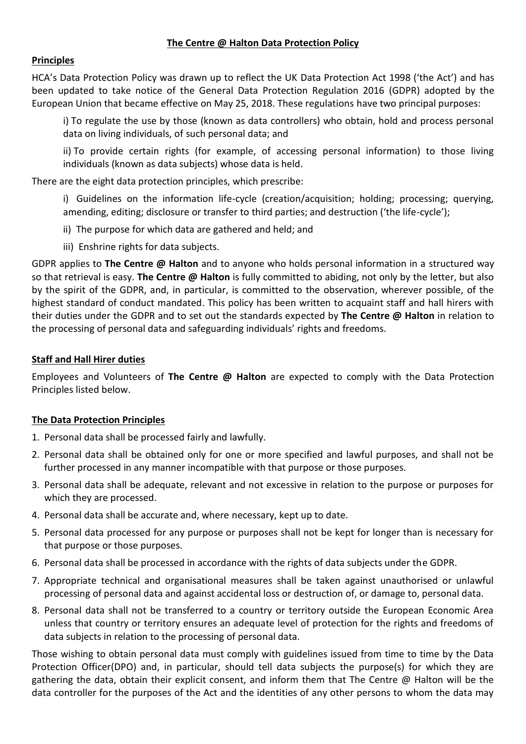## **The Centre @ Halton Data Protection Policy**

## **Principles**

HCA's Data Protection Policy was drawn up to reflect the UK Data Protection Act 1998 ('the Act') and has been updated to take notice of the General Data Protection Regulation 2016 (GDPR) adopted by the European Union that became effective on May 25, 2018. These regulations have two principal purposes:

i) To regulate the use by those (known as data controllers) who obtain, hold and process personal data on living individuals, of such personal data; and

ii) To provide certain rights (for example, of accessing personal information) to those living individuals (known as data subjects) whose data is held.

There are the eight data protection principles, which prescribe:

i) Guidelines on the information life-cycle (creation/acquisition; holding; processing; querying, amending, editing; disclosure or transfer to third parties; and destruction ('the life-cycle');

- ii) The purpose for which data are gathered and held; and
- iii) Enshrine rights for data subjects.

GDPR applies to **The Centre @ Halton** and to anyone who holds personal information in a structured way so that retrieval is easy. **The Centre @ Halton** is fully committed to abiding, not only by the letter, but also by the spirit of the GDPR, and, in particular, is committed to the observation, wherever possible, of the highest standard of conduct mandated. This policy has been written to acquaint staff and hall hirers with their duties under the GDPR and to set out the standards expected by **The Centre @ Halton** in relation to the processing of personal data and safeguarding individuals' rights and freedoms.

## **Staff and Hall Hirer duties**

Employees and Volunteers of **The Centre @ Halton** are expected to comply with the Data Protection Principles listed below.

#### **The Data Protection Principles**

- 1. Personal data shall be processed fairly and lawfully.
- 2. Personal data shall be obtained only for one or more specified and lawful purposes, and shall not be further processed in any manner incompatible with that purpose or those purposes.
- 3. Personal data shall be adequate, relevant and not excessive in relation to the purpose or purposes for which they are processed.
- 4. Personal data shall be accurate and, where necessary, kept up to date.
- 5. Personal data processed for any purpose or purposes shall not be kept for longer than is necessary for that purpose or those purposes.
- 6. Personal data shall be processed in accordance with the rights of data subjects under the GDPR.
- 7. Appropriate technical and organisational measures shall be taken against unauthorised or unlawful processing of personal data and against accidental loss or destruction of, or damage to, personal data.
- 8. Personal data shall not be transferred to a country or territory outside the European Economic Area unless that country or territory ensures an adequate level of protection for the rights and freedoms of data subjects in relation to the processing of personal data.

Those wishing to obtain personal data must comply with guidelines issued from time to time by the Data Protection Officer(DPO) and, in particular, should tell data subjects the purpose(s) for which they are gathering the data, obtain their explicit consent, and inform them that The Centre @ Halton will be the data controller for the purposes of the Act and the identities of any other persons to whom the data may